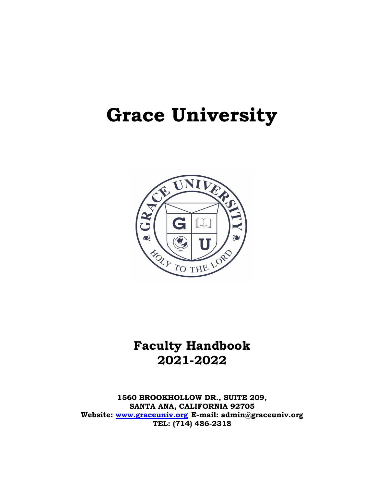# **Grace University**



# **Faculty Handbook 2021-2022**

**1560 BROOKHOLLOW DR., SUITE 209, SANTA ANA, CALIFORNIA 92705 Website: [www.graceuniv.org](http://www.graceuniv.org/) E-mail: admin@graceuniv.org TEL: (714) 486-2318**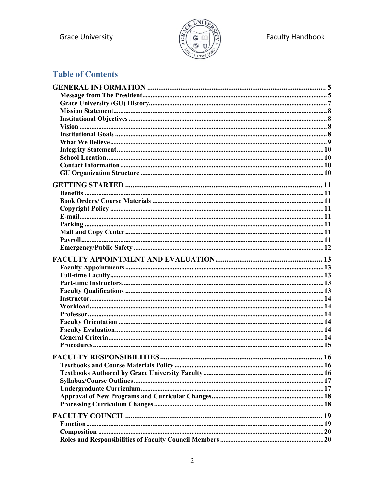

# **Table of Contents**

| <b>FACULTY RESPONSIBILITIES.</b> | 16 |
|----------------------------------|----|
|                                  |    |
|                                  |    |
|                                  |    |
|                                  |    |
|                                  |    |
|                                  |    |
|                                  |    |
|                                  |    |
|                                  |    |
|                                  |    |
|                                  |    |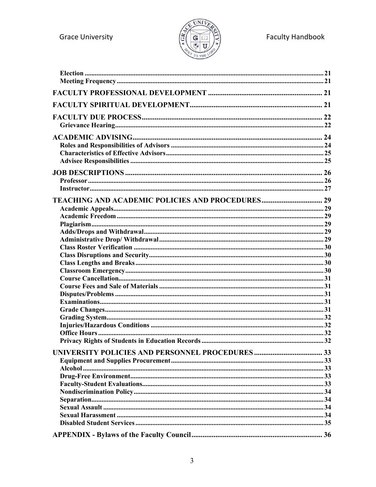**Grace University** 

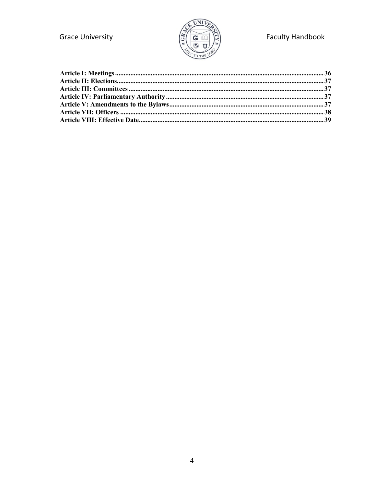

# **Faculty Handbook**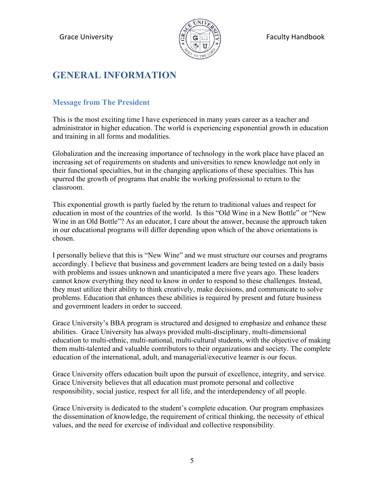

# <span id="page-4-0"></span>**GENERAL INFORMATION**

### <span id="page-4-1"></span>**Message from The President**

This is the most exciting time I have experienced in many years career as a teacher and administrator in higher education. The world is experiencing exponential growth in education and training in all forms and modalities.

Globalization and the increasing importance of technology in the work place have placed an increasing set of requirements on students and universities to renew knowledge not only in their functional specialties, but in the changing applications of these specialties. This has spurred the growth of programs that enable the working professional to return to the classroom.

This exponential growth is partly fueled by the return to traditional values and respect for education in most of the countries of the world. Is this "Old Wine in a New Bottle" or "New Wine in an Old Bottle"? As an educator, I care about the answer, because the approach taken in our educational programs will differ depending upon which of the above orientations is chosen.

I personally believe that this is "New Wine" and we must structure our courses and programs accordingly. I believe that business and government leaders are being tested on a daily basis with problems and issues unknown and unanticipated a mere five years ago. These leaders cannot know everything they need to know in order to respond to these challenges. Instead, they must utilize their ability to think creatively, make decisions, and communicate to solve problems. Education that enhances these abilities is required by present and future business and government leaders in order to succeed.

Grace University's BBA program is structured and designed to emphasize and enhance these abilities. Grace University has always provided multi-disciplinary, multi-dimensional education to multi-ethnic, multi-national, multi-cultural students, with the objective of making them multi-talented and valuable contributors to their organizations and society. The complete education of the international, adult, and managerial/executive learner is our focus.

Grace University offers education built upon the pursuit of excellence, integrity, and service. Grace University believes that all education must promote personal and collective responsibility, social justice, respect for all life, and the interdependency of all people.

Grace University is dedicated to the student's complete education. Our program emphasizes the dissemination of knowledge, the requirement of critical thinking, the necessity of ethical values, and the need for exercise of individual and collective responsibility.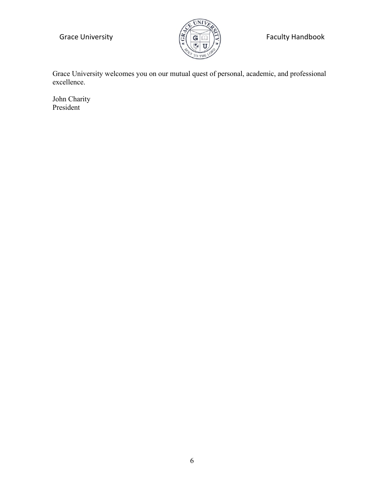

Grace University  $\left(\widetilde{\mathbb{G}}\left(\overline{\mathbf{G}}\right)\widetilde{\mathbb{F}}\right)$  Faculty Handbook

Grace University welcomes you on our mutual quest of personal, academic, and professional excellence.

John Charity President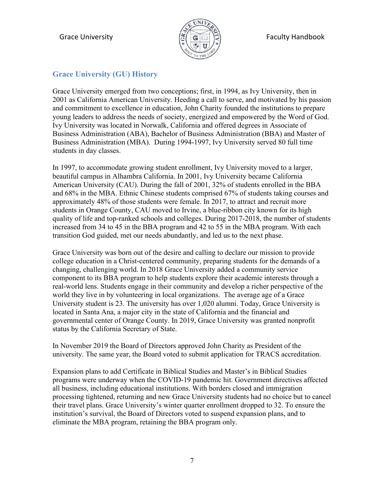

### <span id="page-6-0"></span>**Grace University (GU) History**

Grace University emerged from two conceptions; first, in 1994, as Ivy University, then in 2001 as California American University. Heeding a call to serve, and motivated by his passion and commitment to excellence in education, John Charity founded the institutions to prepare young leaders to address the needs of society, energized and empowered by the Word of God. Ivy University was located in Norwalk, California and offered degrees in Associate of Business Administration (ABA), Bachelor of Business Administration (BBA) and Master of Business Administration (MBA). During 1994-1997, Ivy University served 80 full time students in day classes.

In 1997, to accommodate growing student enrollment, Ivy University moved to a larger, beautiful campus in Alhambra California. In 2001, Ivy University became California American University (CAU). During the fall of 2001, 32% of students enrolled in the BBA and 68% in the MBA. Ethnic Chinese students comprised 67% of students taking courses and approximately 48% of those students were female. In 2017, to attract and recruit more students in Orange County, CAU moved to Irvine, a blue-ribbon city known for its high quality of life and top-ranked schools and colleges. During 2017-2018, the number of students increased from 34 to 45 in the BBA program and 42 to 55 in the MBA program. With each transition God guided, met our needs abundantly, and led us to the next phase.

Grace University was born out of the desire and calling to declare our mission to provide college education in a Christ-centered community, preparing students for the demands of a changing, challenging world. In 2018 Grace University added a community service component to its BBA program to help students explore their academic interests through a real-world lens. Students engage in their community and develop a richer perspective of the world they live in by volunteering in local organizations. The average age of a Grace University student is 23. The university has over 1,020 alumni. Today, Grace University is located in Santa Ana, a major city in the state of California and the financial and governmental center of Orange County. In 2019, Grace University was granted nonprofit status by the California Secretary of State.

In November 2019 the Board of Directors approved John Charity as President of the university. The same year, the Board voted to submit application for TRACS accreditation.

Expansion plans to add Certificate in Biblical Studies and Master's in Biblical Studies programs were underway when the COVID-19 pandemic hit. Government directives affected all business, including educational institutions. With borders closed and immigration processing tightened, returning and new Grace University students had no choice but to cancel their travel plans. Grace University's winter quarter enrollment dropped to 32. To ensure the institution's survival, the Board of Directors voted to suspend expansion plans, and to eliminate the MBA program, retaining the BBA program only.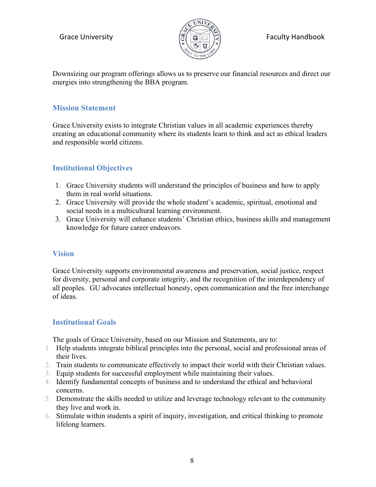

### Grace University  $\left|\frac{\sigma}{\sigma}\right| \left|\frac{\sigma}{\sigma}\right| \left|\frac{\sigma}{\sigma}\right|$  Faculty Handbook

Downsizing our program offerings allows us to preserve our financial resources and direct our energies into strengthening the BBA program.

### <span id="page-7-0"></span>**Mission Statement**

Grace University exists to integrate Christian values in all academic experiences thereby creating an educational community where its students learn to think and act as ethical leaders and responsible world citizens.

### <span id="page-7-1"></span>**Institutional Objectives**

- 1. Grace University students will understand the principles of business and how to apply them in real world situations.
- 2. Grace University will provide the whole student's academic, spiritual, emotional and social needs in a multicultural learning environment.
- 3. Grace University will enhance students' Christian ethics, business skills and management knowledge for future career endeavors.

### <span id="page-7-2"></span>**Vision**

Grace University supports environmental awareness and preservation, social justice, respect for diversity, personal and corporate integrity, and the recognition of the interdependency of all peoples. GU advocates intellectual honesty, open communication and the free interchange of ideas.

### <span id="page-7-3"></span>**Institutional Goals**

The goals of Grace University, based on our Mission and Statements, are to:

- 1. Help students integrate biblical principles into the personal, social and professional areas of their lives.
- 2. Train students to communicate effectively to impact their world with their Christian values.
- 3. Equip students for successful employment while maintaining their values.
- 4. Identify fundamental concepts of business and to understand the ethical and behavioral concerns.
- 5. Demonstrate the skills needed to utilize and leverage technology relevant to the community they live and work in.
- 6. Stimulate within students a spirit of inquiry, investigation, and critical thinking to promote lifelong learners.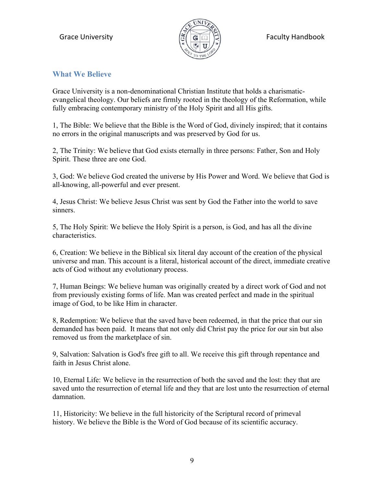

### <span id="page-8-0"></span>**What We Believe**

Grace University is a non-denominational Christian Institute that holds a charismaticevangelical theology. Our beliefs are firmly rooted in the theology of the Reformation, while fully embracing contemporary ministry of the Holy Spirit and all His gifts.

1, The Bible: We believe that the Bible is the Word of God, divinely inspired; that it contains no errors in the original manuscripts and was preserved by God for us.

2, The Trinity: We believe that God exists eternally in three persons: Father, Son and Holy Spirit. These three are one God.

3, God: We believe God created the universe by His Power and Word. We believe that God is all-knowing, all-powerful and ever present.

4, Jesus Christ: We believe Jesus Christ was sent by God the Father into the world to save sinners.

5, The Holy Spirit: We believe the Holy Spirit is a person, is God, and has all the divine characteristics.

6, Creation: We believe in the Biblical six literal day account of the creation of the physical universe and man. This account is a literal, historical account of the direct, immediate creative acts of God without any evolutionary process.

7, Human Beings: We believe human was originally created by a direct work of God and not from previously existing forms of life. Man was created perfect and made in the spiritual image of God, to be like Him in character.

8, Redemption: We believe that the saved have been redeemed, in that the price that our sin demanded has been paid. It means that not only did Christ pay the price for our sin but also removed us from the marketplace of sin.

9, Salvation: Salvation is God's free gift to all. We receive this gift through repentance and faith in Jesus Christ alone.

10, Eternal Life: We believe in the resurrection of both the saved and the lost: they that are saved unto the resurrection of eternal life and they that are lost unto the resurrection of eternal damnation.

11, Historicity: We believe in the full historicity of the Scriptural record of primeval history. We believe the Bible is the Word of God because of its scientific accuracy.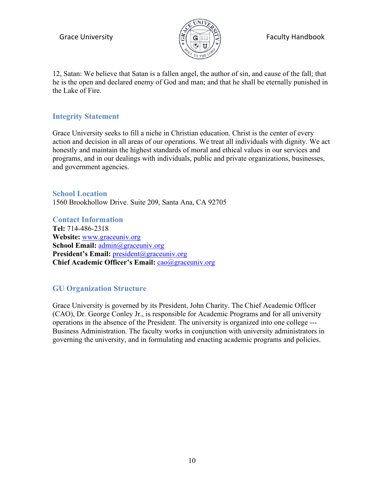

12, Satan: We believe that Satan is a fallen angel, the author of sin, and cause of the fall; that he is the open and declared enemy of God and man; and that he shall be eternally punished in the Lake of Fire.

### <span id="page-9-0"></span>**Integrity Statement**

Grace University seeks to fill a niche in Christian education. Christ is the center of every action and decision in all areas of our operations. We treat all individuals with dignity. We act honestly and maintain the highest standards of moral and ethical values in our services and programs, and in our dealings with individuals, public and private organizations, businesses, and government agencies.

<span id="page-9-1"></span>**School Location**  1560 Brookhollow Drive. Suite 209, Santa Ana, CA 92705

<span id="page-9-2"></span>**Contact Information Tel:** 714-486-2318 **Website:** [www.graceuniv.org](http://www.graceuniv.org/)  **School Email:** [admin@graceuniv.org](mailto:admin@graceuniv.org)  President's Email: [president@graceuniv.org](mailto:president@graceuniv.org) **Chief Academic Officer's Email:** [cao@graceuniv.org](mailto:cao@graceuniv.org)

### <span id="page-9-3"></span>**GU Organization Structure**

Grace University is governed by its President, John Charity. The Chief Academic Officer (CAO), Dr. George Conley Jr., is responsible for Academic Programs and for all university operations in the absence of the President. The university is organized into one college --- Business Administration. The faculty works in conjunction with university administrators in governing the university, and in formulating and enacting academic programs and policies.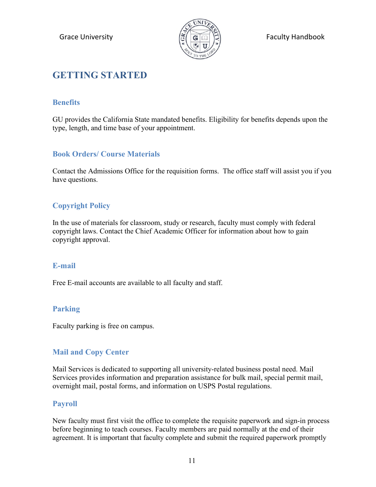

# <span id="page-10-0"></span>**GETTING STARTED**

### <span id="page-10-1"></span>**Benefits**

GU provides the California State mandated benefits. Eligibility for benefits depends upon the type, length, and time base of your appointment.

### <span id="page-10-2"></span>**Book Orders/ Course Materials**

Contact the Admissions Office for the requisition forms. The office staff will assist you if you have questions.

### <span id="page-10-3"></span>**Copyright Policy**

In the use of materials for classroom, study or research, faculty must comply with federal copyright laws. Contact the Chief Academic Officer for information about how to gain copyright approval.

### <span id="page-10-4"></span>**E-mail**

Free E-mail accounts are available to all faculty and staff.

### <span id="page-10-5"></span>**Parking**

Faculty parking is free on campus.

### <span id="page-10-6"></span>**Mail and Copy Center**

Mail Services is dedicated to supporting all university-related business postal need. Mail Services provides information and preparation assistance for bulk mail, special permit mail, overnight mail, postal forms, and information on USPS Postal regulations.

### <span id="page-10-7"></span>**Payroll**

New faculty must first visit the office to complete the requisite paperwork and sign-in process before beginning to teach courses. Faculty members are paid normally at the end of their agreement. It is important that faculty complete and submit the required paperwork promptly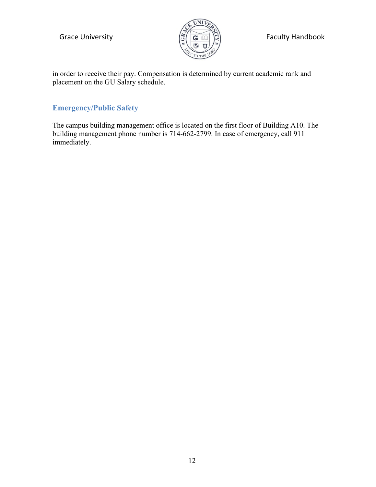

Grace University  $\left(\frac{\sigma}{\sigma}\right)$   $\left(\frac{\sigma}{\sigma}\right)$   $\left(\frac{\sigma}{\sigma}\right)$  Faculty Handbook

in order to receive their pay. Compensation is determined by current academic rank and placement on the GU Salary schedule.

### <span id="page-11-0"></span>**Emergency/Public Safety**

The campus building management office is located on the first floor of Building A10. The building management phone number is 714-662-2799. In case of emergency, call 911 immediately.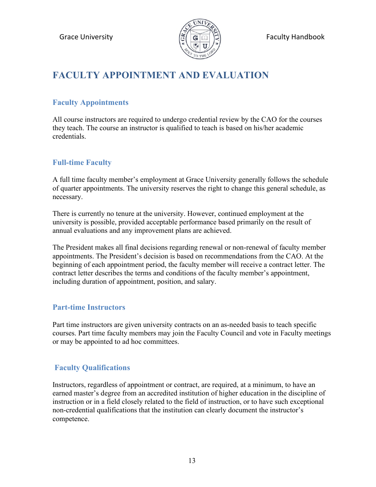

Grace University  $\mathbb{E}[\mathbf{G}|\mathbf{G}|\mathbf{H}]\mathbf{H}$  Faculty Handbook

# <span id="page-12-0"></span>**FACULTY APPOINTMENT AND EVALUATION**

### <span id="page-12-1"></span>**Faculty Appointments**

All course instructors are required to undergo credential review by the CAO for the courses they teach. The course an instructor is qualified to teach is based on his/her academic credentials.

### <span id="page-12-2"></span>**Full-time Faculty**

A full time faculty member's employment at Grace University generally follows the schedule of quarter appointments. The university reserves the right to change this general schedule, as necessary.

There is currently no tenure at the university. However, continued employment at the university is possible, provided acceptable performance based primarily on the result of annual evaluations and any improvement plans are achieved.

The President makes all final decisions regarding renewal or non-renewal of faculty member appointments. The President's decision is based on recommendations from the CAO. At the beginning of each appointment period, the faculty member will receive a contract letter. The contract letter describes the terms and conditions of the faculty member's appointment, including duration of appointment, position, and salary.

### <span id="page-12-3"></span>**Part-time Instructors**

Part time instructors are given university contracts on an as-needed basis to teach specific courses. Part time faculty members may join the Faculty Council and vote in Faculty meetings or may be appointed to ad hoc committees.

### <span id="page-12-4"></span>**Faculty Qualifications**

Instructors, regardless of appointment or contract, are required, at a minimum, to have an earned master's degree from an accredited institution of higher education in the discipline of instruction or in a field closely related to the field of instruction, or to have such exceptional non-credential qualifications that the institution can clearly document the instructor's competence.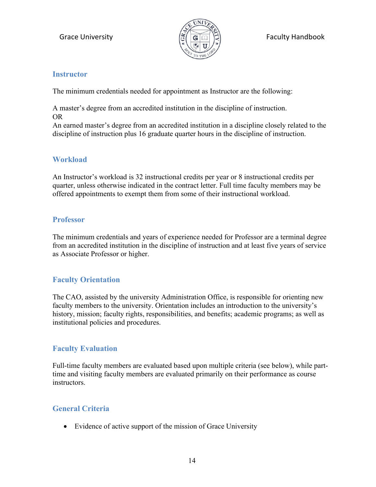

### <span id="page-13-0"></span>**Instructor**

The minimum credentials needed for appointment as Instructor are the following:

A master's degree from an accredited institution in the discipline of instruction. OR

An earned master's degree from an accredited institution in a discipline closely related to the discipline of instruction plus 16 graduate quarter hours in the discipline of instruction.

### <span id="page-13-1"></span>**Workload**

An Instructor's workload is 32 instructional credits per year or 8 instructional credits per quarter, unless otherwise indicated in the contract letter. Full time faculty members may be offered appointments to exempt them from some of their instructional workload.

### <span id="page-13-2"></span>**Professor**

The minimum credentials and years of experience needed for Professor are a terminal degree from an accredited institution in the discipline of instruction and at least five years of service as Associate Professor or higher.

### <span id="page-13-3"></span>**Faculty Orientation**

The CAO, assisted by the university Administration Office, is responsible for orienting new faculty members to the university. Orientation includes an introduction to the university's history, mission; faculty rights, responsibilities, and benefits; academic programs; as well as institutional policies and procedures.

### <span id="page-13-4"></span>**Faculty Evaluation**

Full-time faculty members are evaluated based upon multiple criteria (see below), while parttime and visiting faculty members are evaluated primarily on their performance as course instructors.

### <span id="page-13-5"></span>**General Criteria**

• Evidence of active support of the mission of Grace University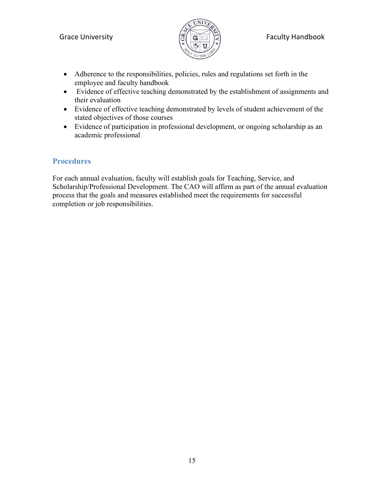

- Adherence to the responsibilities, policies, rules and regulations set forth in the employee and faculty handbook
- Evidence of effective teaching demonstrated by the establishment of assignments and their evaluation
- Evidence of effective teaching demonstrated by levels of student achievement of the stated objectives of those courses
- Evidence of participation in professional development, or ongoing scholarship as an academic professional

### <span id="page-14-0"></span>**Procedures**

For each annual evaluation, faculty will establish goals for Teaching, Service, and Scholarship/Professional Development. The CAO will affirm as part of the annual evaluation process that the goals and measures established meet the requirements for successful completion or job responsibilities.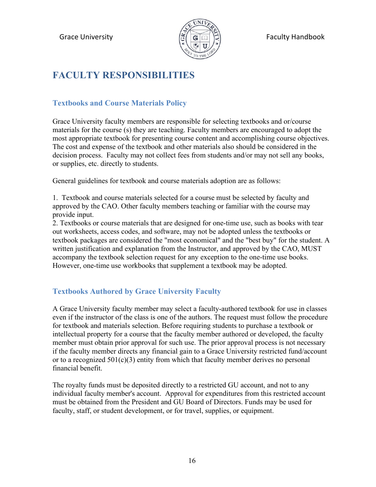

# <span id="page-15-0"></span>**FACULTY RESPONSIBILITIES**

### <span id="page-15-1"></span>**Textbooks and Course Materials Policy**

Grace University faculty members are responsible for selecting textbooks and or/course materials for the course (s) they are teaching. Faculty members are encouraged to adopt the most appropriate textbook for presenting course content and accomplishing course objectives. The cost and expense of the textbook and other materials also should be considered in the decision process. Faculty may not collect fees from students and/or may not sell any books, or supplies, etc. directly to students.

General guidelines for textbook and course materials adoption are as follows:

1. Textbook and course materials selected for a course must be selected by faculty and approved by the CAO. Other faculty members teaching or familiar with the course may provide input.

2. Textbooks or course materials that are designed for one-time use, such as books with tear out worksheets, access codes, and software, may not be adopted unless the textbooks or textbook packages are considered the "most economical" and the "best buy" for the student. A written justification and explanation from the Instructor, and approved by the CAO, MUST accompany the textbook selection request for any exception to the one-time use books. However, one-time use workbooks that supplement a textbook may be adopted.

### <span id="page-15-2"></span>**Textbooks Authored by Grace University Faculty**

A Grace University faculty member may select a faculty-authored textbook for use in classes even if the instructor of the class is one of the authors. The request must follow the procedure for textbook and materials selection. Before requiring students to purchase a textbook or intellectual property for a course that the faculty member authored or developed, the faculty member must obtain prior approval for such use. The prior approval process is not necessary if the faculty member directs any financial gain to a Grace University restricted fund/account or to a recognized  $501(c)(3)$  entity from which that faculty member derives no personal financial benefit.

The royalty funds must be deposited directly to a restricted GU account, and not to any individual faculty member's account. Approval for expenditures from this restricted account must be obtained from the President and GU Board of Directors. Funds may be used for faculty, staff, or student development, or for travel, supplies, or equipment.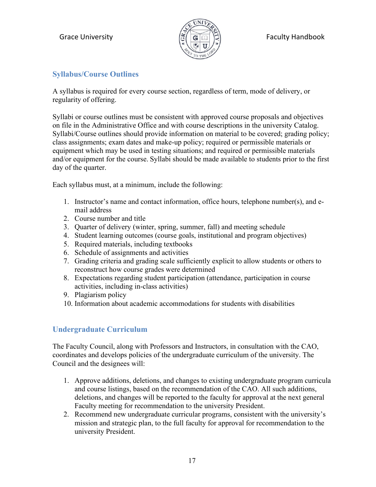

### <span id="page-16-0"></span>**Syllabus/Course Outlines**

A syllabus is required for every course section, regardless of term, mode of delivery, or regularity of offering.

Syllabi or course outlines must be consistent with approved course proposals and objectives on file in the Administrative Office and with course descriptions in the university Catalog. Syllabi/Course outlines should provide information on material to be covered; grading policy; class assignments; exam dates and make-up policy; required or permissible materials or equipment which may be used in testing situations; and required or permissible materials and/or equipment for the course. Syllabi should be made available to students prior to the first day of the quarter.

Each syllabus must, at a minimum, include the following:

- 1. Instructor's name and contact information, office hours, telephone number(s), and email address
- 2. Course number and title
- 3. Quarter of delivery (winter, spring, summer, fall) and meeting schedule
- 4. Student learning outcomes (course goals, institutional and program objectives)
- 5. Required materials, including textbooks
- 6. Schedule of assignments and activities
- 7. Grading criteria and grading scale sufficiently explicit to allow students or others to reconstruct how course grades were determined
- 8. Expectations regarding student participation (attendance, participation in course activities, including in-class activities)
- 9. Plagiarism policy
- 10. Information about academic accommodations for students with disabilities

### <span id="page-16-1"></span>**Undergraduate Curriculum**

The Faculty Council, along with Professors and Instructors, in consultation with the CAO, coordinates and develops policies of the undergraduate curriculum of the university. The Council and the designees will:

- 1. Approve additions, deletions, and changes to existing undergraduate program curricula and course listings, based on the recommendation of the CAO. All such additions, deletions, and changes will be reported to the faculty for approval at the next general Faculty meeting for recommendation to the university President.
- 2. Recommend new undergraduate curricular programs, consistent with the university's mission and strategic plan, to the full faculty for approval for recommendation to the university President.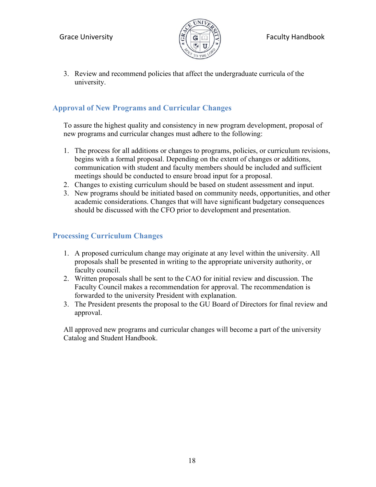

3. Review and recommend policies that affect the undergraduate curricula of the university.

### <span id="page-17-0"></span>**Approval of New Programs and Curricular Changes**

To assure the highest quality and consistency in new program development, proposal of new programs and curricular changes must adhere to the following:

- 1. The process for all additions or changes to programs, policies, or curriculum revisions, begins with a formal proposal. Depending on the extent of changes or additions, communication with student and faculty members should be included and sufficient meetings should be conducted to ensure broad input for a proposal.
- 2. Changes to existing curriculum should be based on student assessment and input.
- 3. New programs should be initiated based on community needs, opportunities, and other academic considerations. Changes that will have significant budgetary consequences should be discussed with the CFO prior to development and presentation.

### <span id="page-17-1"></span>**Processing Curriculum Changes**

- 1. A proposed curriculum change may originate at any level within the university. All proposals shall be presented in writing to the appropriate university authority, or faculty council.
- 2. Written proposals shall be sent to the CAO for initial review and discussion. The Faculty Council makes a recommendation for approval. The recommendation is forwarded to the university President with explanation.
- 3. The President presents the proposal to the GU Board of Directors for final review and approval.

All approved new programs and curricular changes will become a part of the university Catalog and Student Handbook.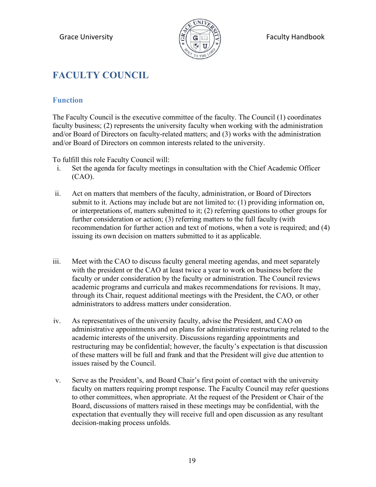

# <span id="page-18-0"></span>**FACULTY COUNCIL**

### <span id="page-18-1"></span>**Function**

The Faculty Council is the executive committee of the faculty. The Council (1) coordinates faculty business; (2) represents the university faculty when working with the administration and/or Board of Directors on faculty-related matters; and (3) works with the administration and/or Board of Directors on common interests related to the university.

To fulfill this role Faculty Council will:

- i. Set the agenda for faculty meetings in consultation with the Chief Academic Officer (CAO).
- ii. Act on matters that members of the faculty, administration, or Board of Directors submit to it. Actions may include but are not limited to: (1) providing information on, or interpretations of, matters submitted to it; (2) referring questions to other groups for further consideration or action; (3) referring matters to the full faculty (with recommendation for further action and text of motions, when a vote is required; and (4) issuing its own decision on matters submitted to it as applicable.
- iii. Meet with the CAO to discuss faculty general meeting agendas, and meet separately with the president or the CAO at least twice a year to work on business before the faculty or under consideration by the faculty or administration. The Council reviews academic programs and curricula and makes recommendations for revisions. It may, through its Chair, request additional meetings with the President, the CAO, or other administrators to address matters under consideration.
- iv. As representatives of the university faculty, advise the President, and CAO on administrative appointments and on plans for administrative restructuring related to the academic interests of the university. Discussions regarding appointments and restructuring may be confidential; however, the faculty's expectation is that discussion of these matters will be full and frank and that the President will give due attention to issues raised by the Council.
- v. Serve as the President's, and Board Chair's first point of contact with the university faculty on matters requiring prompt response. The Faculty Council may refer questions to other committees, when appropriate. At the request of the President or Chair of the Board, discussions of matters raised in these meetings may be confidential, with the expectation that eventually they will receive full and open discussion as any resultant decision-making process unfolds.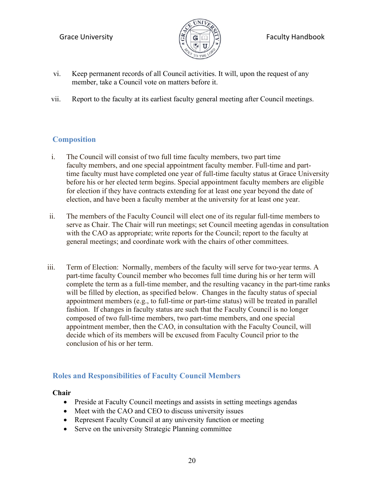

- vi. Keep permanent records of all Council activities. It will, upon the request of any member, take a Council vote on matters before it.
- vii. Report to the faculty at its earliest faculty general meeting after Council meetings.

### <span id="page-19-0"></span>**Composition**

- i. The Council will consist of two full time faculty members, two part time faculty members, and one special appointment faculty member. Full-time and parttime faculty must have completed one year of full-time faculty status at Grace University before his or her elected term begins. Special appointment faculty members are eligible for election if they have contracts extending for at least one year beyond the date of election, and have been a faculty member at the university for at least one year.
- ii. The members of the Faculty Council will elect one of its regular full-time members to serve as Chair. The Chair will run meetings; set Council meeting agendas in consultation with the CAO as appropriate; write reports for the Council; report to the faculty at general meetings; and coordinate work with the chairs of other committees.
- iii. Term of Election: Normally, members of the faculty will serve for two-year terms. A part-time faculty Council member who becomes full time during his or her term will complete the term as a full-time member, and the resulting vacancy in the part-time ranks will be filled by election, as specified below. Changes in the faculty status of special appointment members (e.g., to full-time or part-time status) will be treated in parallel fashion. If changes in faculty status are such that the Faculty Council is no longer composed of two full-time members, two part-time members, and one special appointment member, then the CAO, in consultation with the Faculty Council, will decide which of its members will be excused from Faculty Council prior to the conclusion of his or her term.

### <span id="page-19-1"></span>**Roles and Responsibilities of Faculty Council Members**

### **Chair**

- Preside at Faculty Council meetings and assists in setting meetings agendas
- Meet with the CAO and CEO to discuss university issues
- Represent Faculty Council at any university function or meeting
- Serve on the university Strategic Planning committee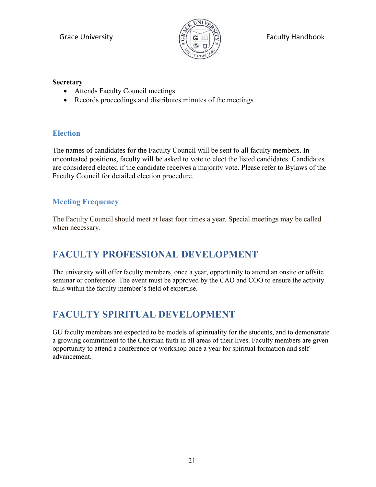

### **Secretary**

- Attends Faculty Council meetings
- Records proceedings and distributes minutes of the meetings

### <span id="page-20-0"></span>**Election**

The names of candidates for the Faculty Council will be sent to all faculty members. In uncontested positions, faculty will be asked to vote to elect the listed candidates. Candidates are considered elected if the candidate receives a majority vote. Please refer to Bylaws of the Faculty Council for detailed election procedure.

### <span id="page-20-1"></span>**Meeting Frequency**

The Faculty Council should meet at least four times a year. Special meetings may be called when necessary.

# <span id="page-20-2"></span>**FACULTY PROFESSIONAL DEVELOPMENT**

The university will offer faculty members, once a year, opportunity to attend an onsite or offsite seminar or conference. The event must be approved by the CAO and COO to ensure the activity falls within the faculty member's field of expertise.

# <span id="page-20-3"></span>**FACULTY SPIRITUAL DEVELOPMENT**

GU faculty members are expected to be models of spirituality for the students, and to demonstrate a growing commitment to the Christian faith in all areas of their lives. Faculty members are given opportunity to attend a conference or workshop once a year for spiritual formation and selfadvancement.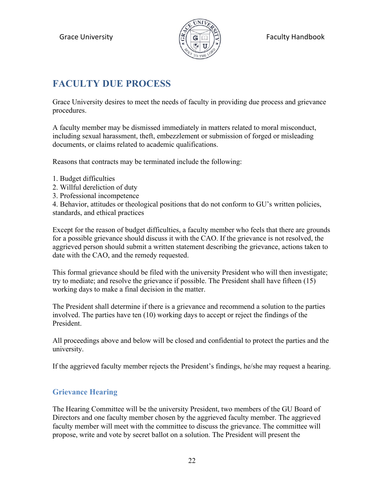

# <span id="page-21-0"></span>**FACULTY DUE PROCESS**

Grace University desires to meet the needs of faculty in providing due process and grievance procedures.

A faculty member may be dismissed immediately in matters related to moral misconduct, including sexual harassment, theft, embezzlement or submission of forged or misleading documents, or claims related to academic qualifications.

Reasons that contracts may be terminated include the following:

- 1. Budget difficulties
- 2. Willful dereliction of duty
- 3. Professional incompetence

4. Behavior, attitudes or theological positions that do not conform to GU's written policies, standards, and ethical practices

Except for the reason of budget difficulties, a faculty member who feels that there are grounds for a possible grievance should discuss it with the CAO. If the grievance is not resolved, the aggrieved person should submit a written statement describing the grievance, actions taken to date with the CAO, and the remedy requested.

This formal grievance should be filed with the university President who will then investigate; try to mediate; and resolve the grievance if possible. The President shall have fifteen (15) working days to make a final decision in the matter.

The President shall determine if there is a grievance and recommend a solution to the parties involved. The parties have ten (10) working days to accept or reject the findings of the President.

All proceedings above and below will be closed and confidential to protect the parties and the university.

If the aggrieved faculty member rejects the President's findings, he/she may request a hearing.

### <span id="page-21-1"></span>**Grievance Hearing**

The Hearing Committee will be the university President, two members of the GU Board of Directors and one faculty member chosen by the aggrieved faculty member. The aggrieved faculty member will meet with the committee to discuss the grievance. The committee will propose, write and vote by secret ballot on a solution. The President will present the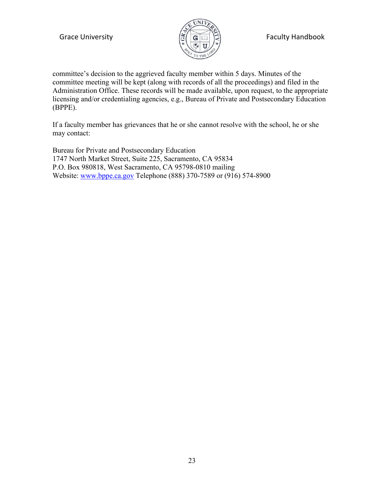

Grace University  $\mathbb{E}[\mathbf{G}|\mathbf{G}|\mathbf{H}]\mathbf{H}$  Faculty Handbook

committee's decision to the aggrieved faculty member within 5 days. Minutes of the committee meeting will be kept (along with records of all the proceedings) and filed in the Administration Office. These records will be made available, upon request, to the appropriate licensing and/or credentialing agencies, e.g., Bureau of Private and Postsecondary Education (BPPE).

If a faculty member has grievances that he or she cannot resolve with the school, he or she may contact:

Bureau for Private and Postsecondary Education 1747 North Market Street, Suite 225, Sacramento, CA 95834 P.O. Box 980818, West Sacramento, CA 95798-0810 mailing Website: [www.bppe.ca.gov](http://www.bppe.ca.gov/) Telephone (888) 370-7589 or (916) 574-8900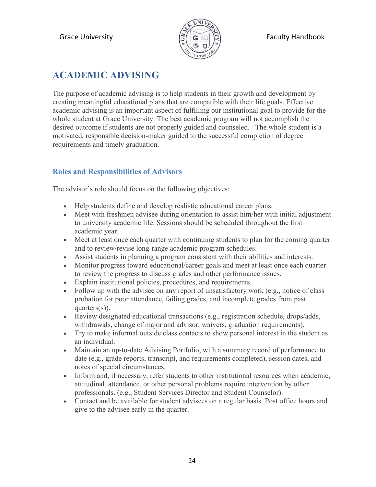

# <span id="page-23-0"></span>**ACADEMIC ADVISING**

The purpose of academic advising is to help students in their growth and development by creating meaningful educational plans that are compatible with their life goals. Effective academic advising is an important aspect of fulfilling our institutional goal to provide for the whole student at Grace University. The best academic program will not accomplish the desired outcome if students are not properly guided and counseled. The whole student is a motivated, responsible decision-maker guided to the successful completion of degree requirements and timely graduation.

### <span id="page-23-1"></span>**Roles and Responsibilities of Advisors**

The advisor's role should focus on the following objectives:

- Help students define and develop realistic educational career plans.
- Meet with freshmen advisee during orientation to assist him/her with initial adjustment to university academic life. Sessions should be scheduled throughout the first academic year.
- Meet at least once each quarter with continuing students to plan for the coming quarter and to review/revise long-range academic program schedules.
- Assist students in planning a program consistent with their abilities and interests.
- Monitor progress toward educational/career goals and meet at least once each quarter to review the progress to discuss grades and other performance issues.
- Explain institutional policies, procedures, and requirements.
- Follow up with the advisee on any report of unsatisfactory work (e.g., notice of class probation for poor attendance, failing grades, and incomplete grades from past quarters(s)).
- Review designated educational transactions (e.g., registration schedule, drops/adds, withdrawals, change of major and advisor, waivers, graduation requirements).
- Try to make informal outside class contacts to show personal interest in the student as an individual.
- Maintain an up-to-date Advising Portfolio, with a summary record of performance to date (e.g., grade reports, transcript, and requirements completed), session dates, and notes of special circumstances.
- Inform and, if necessary, refer students to other institutional resources when academic, attitudinal, attendance, or other personal problems require intervention by other professionals. (e.g., Student Services Director and Student Counselor).
- Contact and be available for student advisees on a regular basis. Post office hours and give to the advisee early in the quarter.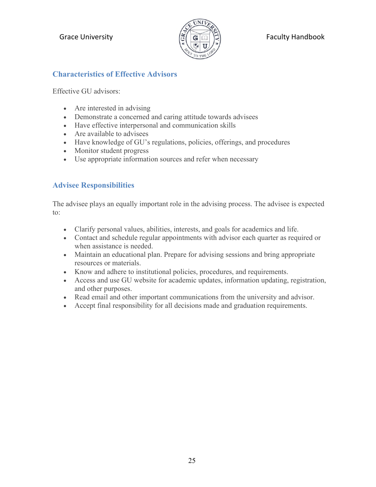

### <span id="page-24-0"></span>**Characteristics of Effective Advisors**

Effective GU advisors:

- Are interested in advising
- Demonstrate a concerned and caring attitude towards advisees
- Have effective interpersonal and communication skills
- Are available to advisees
- Have knowledge of GU's regulations, policies, offerings, and procedures
- Monitor student progress
- Use appropriate information sources and refer when necessary

### <span id="page-24-1"></span>**Advisee Responsibilities**

The advisee plays an equally important role in the advising process. The advisee is expected to:

- Clarify personal values, abilities, interests, and goals for academics and life.
- Contact and schedule regular appointments with advisor each quarter as required or when assistance is needed.
- Maintain an educational plan. Prepare for advising sessions and bring appropriate resources or materials.
- Know and adhere to institutional policies, procedures, and requirements.
- Access and use GU website for academic updates, information updating, registration, and other purposes.
- Read email and other important communications from the university and advisor.
- Accept final responsibility for all decisions made and graduation requirements.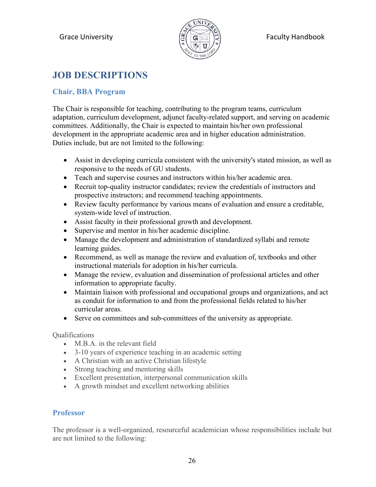

# <span id="page-25-0"></span>**JOB DESCRIPTIONS**

### **Chair, BBA Program**

The Chair is responsible for teaching, contributing to the program teams, curriculum adaptation, curriculum development, adjunct faculty-related support, and serving on academic committees. Additionally, the Chair is expected to maintain his/her own professional development in the appropriate academic area and in higher education administration. Duties include, but are not limited to the following:

- Assist in developing curricula consistent with the university's stated mission, as well as responsive to the needs of GU students.
- Teach and supervise courses and instructors within his/her academic area.
- Recruit top-quality instructor candidates; review the credentials of instructors and prospective instructors; and recommend teaching appointments.
- Review faculty performance by various means of evaluation and ensure a creditable, system-wide level of instruction.
- Assist faculty in their professional growth and development.
- Supervise and mentor in his/her academic discipline.
- Manage the development and administration of standardized syllabi and remote learning guides.
- Recommend, as well as manage the review and evaluation of, textbooks and other instructional materials for adoption in his/her curricula.
- Manage the review, evaluation and dissemination of professional articles and other information to appropriate faculty.
- Maintain liaison with professional and occupational groups and organizations, and act as conduit for information to and from the professional fields related to his/her curricular areas.
- Serve on committees and sub-committees of the university as appropriate.

Qualifications

- M.B.A. in the relevant field
- 3-10 years of experience teaching in an academic setting
- A Christian with an active Christian lifestyle
- Strong teaching and mentoring skills
- Excellent presentation, interpersonal communication skills
- <span id="page-25-1"></span>• A growth mindset and excellent networking abilities

### **Professor**

The professor is a well-organized, resourceful academician whose responsibilities include but are not limited to the following: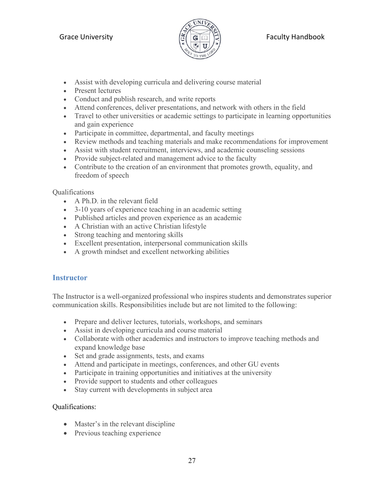

- Assist with developing curricula and delivering course material
- Present lectures
- Conduct and publish research, and write reports
- Attend conferences, deliver presentations, and network with others in the field
- Travel to other universities or academic settings to participate in learning opportunities and gain experience
- Participate in committee, departmental, and faculty meetings
- Review methods and teaching materials and make recommendations for improvement
- Assist with student recruitment, interviews, and academic counseling sessions
- Provide subject-related and management advice to the faculty
- Contribute to the creation of an environment that promotes growth, equality, and freedom of speech

### Qualifications

- A Ph.D. in the relevant field
- 3-10 years of experience teaching in an academic setting
- Published articles and proven experience as an academic
- A Christian with an active Christian lifestyle
- Strong teaching and mentoring skills
- Excellent presentation, interpersonal communication skills
- A growth mindset and excellent networking abilities

### <span id="page-26-0"></span>**Instructor**

The Instructor is a well-organized professional who inspires students and demonstrates superior communication skills. Responsibilities include but are not limited to the following:

- Prepare and deliver lectures, tutorials, workshops, and seminars
- Assist in developing curricula and course material
- Collaborate with other academics and instructors to improve teaching methods and expand knowledge base
- Set and grade assignments, tests, and exams
- Attend and participate in meetings, conferences, and other GU events
- Participate in training opportunities and initiatives at the university
- Provide support to students and other colleagues
- Stay current with developments in subject area

### Qualifications:

- Master's in the relevant discipline
- Previous teaching experience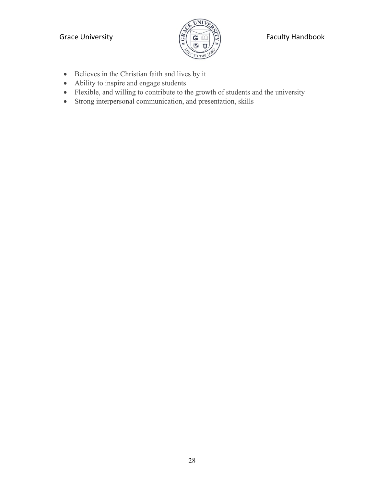

### Grace University  $\left(\frac{\sigma}{\sigma}\right)$   $\left(\frac{\sigma}{\sigma}\right)$   $\left(\frac{\sigma}{\sigma}\right)$  Faculty Handbook

- Believes in the Christian faith and lives by it
- Ability to inspire and engage students
- Flexible, and willing to contribute to the growth of students and the university
- Strong interpersonal communication, and presentation, skills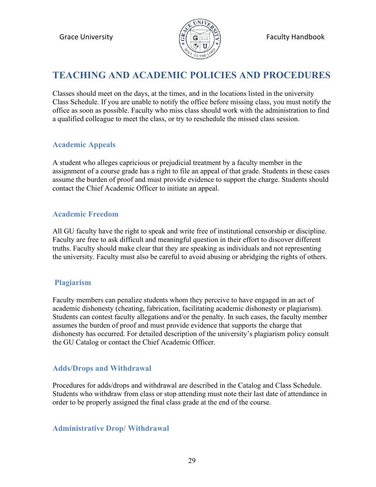

## <span id="page-28-0"></span>**TEACHING AND ACADEMIC POLICIES AND PROCEDURES**

Classes should meet on the days, at the times, and in the locations listed in the university Class Schedule. If you are unable to notify the office before missing class, you must notify the office as soon as possible. Faculty who miss class should work with the administration to find a qualified colleague to meet the class, or try to reschedule the missed class session.

### <span id="page-28-1"></span>**Academic Appeals**

A student who alleges capricious or prejudicial treatment by a faculty member in the assignment of a course grade has a right to file an appeal of that grade. Students in these cases assume the burden of proof and must provide evidence to support the charge. Students should contact the Chief Academic Officer to initiate an appeal.

### <span id="page-28-2"></span>**Academic Freedom**

All GU faculty have the right to speak and write free of institutional censorship or discipline. Faculty are free to ask difficult and meaningful question in their effort to discover different truths. Faculty should make clear that they are speaking as individuals and not representing the university. Faculty must also be careful to avoid abusing or abridging the rights of others.

### <span id="page-28-3"></span>**Plagiarism**

Faculty members can penalize students whom they perceive to have engaged in an act of academic dishonesty (cheating, fabrication, facilitating academic dishonesty or plagiarism). Students can contest faculty allegations and/or the penalty. In such cases, the faculty member assumes the burden of proof and must provide evidence that supports the charge that dishonesty has occurred. For detailed description of the university's plagiarism policy consult the GU Catalog or contact the Chief Academic Officer.

### <span id="page-28-4"></span>**Adds/Drops and Withdrawal**

Procedures for adds/drops and withdrawal are described in the Catalog and Class Schedule. Students who withdraw from class or stop attending must note their last date of attendance in order to be properly assigned the final class grade at the end of the course.

### <span id="page-28-5"></span>**Administrative Drop/ Withdrawal**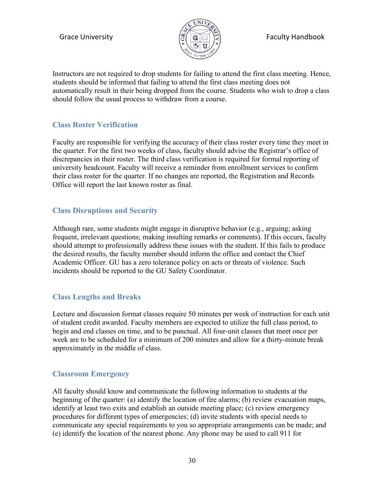

Instructors are not required to drop students for failing to attend the first class meeting. Hence, students should be informed that failing to attend the first class meeting does not automatically result in their being dropped from the course. Students who wish to drop a class should follow the usual process to withdraw from a course.

### <span id="page-29-0"></span>**Class Roster Verification**

Faculty are responsible for verifying the accuracy of their class roster every time they meet in the quarter. For the first two weeks of class, faculty should advise the Registrar's office of discrepancies in their roster. The third class verification is required for formal reporting of university headcount. Faculty will receive a reminder from enrollment services to confirm their class roster for the quarter. If no changes are reported, the Registration and Records Office will report the last known roster as final.

### <span id="page-29-1"></span>**Class Disruptions and Security**

Although rare, some students might engage in disruptive behavior (e.g., arguing; asking frequent, irrelevant questions; making insulting remarks or comments). If this occurs, faculty should attempt to professionally address these issues with the student. If this fails to produce the desired results, the faculty member should inform the office and contact the Chief Academic Officer. GU has a zero tolerance policy on acts or threats of violence. Such incidents should be reported to the GU Safety Coordinator.

### <span id="page-29-2"></span>**Class Lengths and Breaks**

Lecture and discussion format classes require 50 minutes per week of instruction for each unit of student credit awarded. Faculty members are expected to utilize the full class period, to begin and end classes on time, and to be punctual. All four-unit classes that meet once per week are to be scheduled for a minimum of 200 minutes and allow for a thirty-minute break approximately in the middle of class.

### <span id="page-29-3"></span>**Classroom Emergency**

All faculty should know and communicate the following information to students at the beginning of the quarter: (a) identify the location of fire alarms; (b) review evacuation maps, identify at least two exits and establish an outside meeting place; (c) review emergency procedures for different types of emergencies; (d) invite students with special needs to communicate any special requirements to you so appropriate arrangements can be made; and (e) identify the location of the nearest phone. Any phone may be used to call 911 for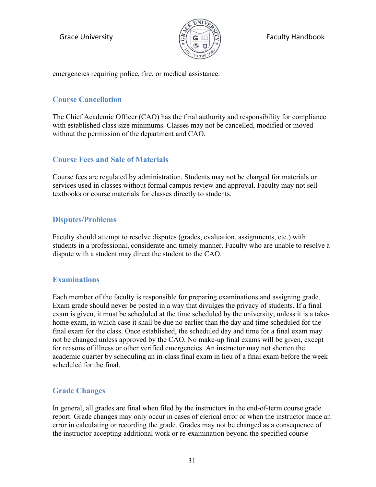

Grace University  $\left|\frac{\sigma}{\sigma}\right| \left|\frac{\sigma}{\sigma}\right| \left|\frac{\sigma}{\sigma}\right|$  Faculty Handbook

emergencies requiring police, fire, or medical assistance.

### <span id="page-30-0"></span>**Course Cancellation**

The Chief Academic Officer (CAO) has the final authority and responsibility for compliance with established class size minimums. Classes may not be cancelled, modified or moved without the permission of the department and CAO.

### <span id="page-30-1"></span>**Course Fees and Sale of Materials**

Course fees are regulated by administration. Students may not be charged for materials or services used in classes without formal campus review and approval. Faculty may not sell textbooks or course materials for classes directly to students.

### <span id="page-30-2"></span>**Disputes/Problems**

Faculty should attempt to resolve disputes (grades, evaluation, assignments, etc.) with students in a professional, considerate and timely manner. Faculty who are unable to resolve a dispute with a student may direct the student to the CAO.

### <span id="page-30-3"></span>**Examinations**

Each member of the faculty is responsible for preparing examinations and assigning grade. Exam grade should never be posted in a way that divulges the privacy of students. If a final exam is given, it must be scheduled at the time scheduled by the university, unless it is a takehome exam, in which case it shall be due no earlier than the day and time scheduled for the final exam for the class. Once established, the scheduled day and time for a final exam may not be changed unless approved by the CAO. No make-up final exams will be given, except for reasons of illness or other verified emergencies. An instructor may not shorten the academic quarter by scheduling an in-class final exam in lieu of a final exam before the week scheduled for the final.

### <span id="page-30-4"></span>**Grade Changes**

In general, all grades are final when filed by the instructors in the end-of-term course grade report. Grade changes may only occur in cases of clerical error or when the instructor made an error in calculating or recording the grade. Grades may not be changed as a consequence of the instructor accepting additional work or re-examination beyond the specified course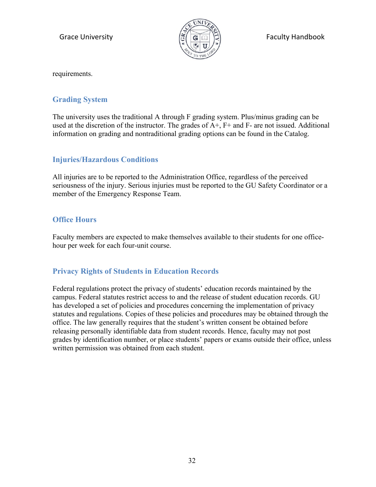

requirements.

### <span id="page-31-0"></span>**Grading System**

The university uses the traditional A through F grading system. Plus/minus grading can be used at the discretion of the instructor. The grades of  $A^+$ ,  $F^+$  and  $F^-$  are not issued. Additional information on grading and nontraditional grading options can be found in the Catalog.

### <span id="page-31-1"></span>**Injuries/Hazardous Conditions**

All injuries are to be reported to the Administration Office, regardless of the perceived seriousness of the injury. Serious injuries must be reported to the GU Safety Coordinator or a member of the Emergency Response Team.

### <span id="page-31-2"></span>**Office Hours**

Faculty members are expected to make themselves available to their students for one officehour per week for each four-unit course.

### <span id="page-31-3"></span>**Privacy Rights of Students in Education Records**

Federal regulations protect the privacy of students' education records maintained by the campus. Federal statutes restrict access to and the release of student education records. GU has developed a set of policies and procedures concerning the implementation of privacy statutes and regulations. Copies of these policies and procedures may be obtained through the office. The law generally requires that the student's written consent be obtained before releasing personally identifiable data from student records. Hence, faculty may not post grades by identification number, or place students' papers or exams outside their office, unless written permission was obtained from each student.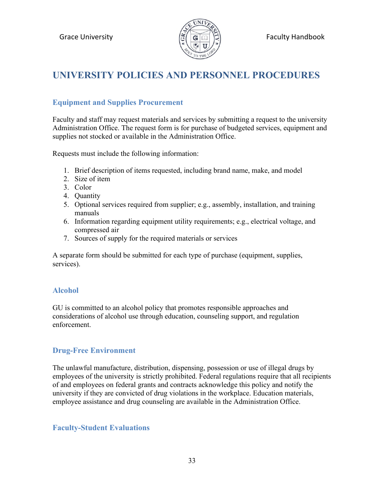

# <span id="page-32-0"></span>**UNIVERSITY POLICIES AND PERSONNEL PROCEDURES**

### <span id="page-32-1"></span>**Equipment and Supplies Procurement**

Faculty and staff may request materials and services by submitting a request to the university Administration Office. The request form is for purchase of budgeted services, equipment and supplies not stocked or available in the Administration Office.

Requests must include the following information:

- 1. Brief description of items requested, including brand name, make, and model
- 2. Size of item
- 3. Color
- 4. Quantity
- 5. Optional services required from supplier; e.g., assembly, installation, and training manuals
- 6. Information regarding equipment utility requirements; e.g., electrical voltage, and compressed air
- 7. Sources of supply for the required materials or services

A separate form should be submitted for each type of purchase (equipment, supplies, services).

### <span id="page-32-2"></span>**Alcohol**

GU is committed to an alcohol policy that promotes responsible approaches and considerations of alcohol use through education, counseling support, and regulation enforcement.

### <span id="page-32-3"></span>**Drug-Free Environment**

The unlawful manufacture, distribution, dispensing, possession or use of illegal drugs by employees of the university is strictly prohibited. Federal regulations require that all recipients of and employees on federal grants and contracts acknowledge this policy and notify the university if they are convicted of drug violations in the workplace. Education materials, employee assistance and drug counseling are available in the Administration Office.

### <span id="page-32-4"></span>**Faculty-Student Evaluations**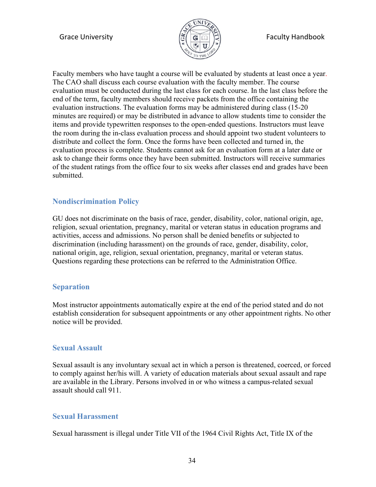

Faculty members who have taught a course will be evaluated by students at least once a year. The CAO shall discuss each course evaluation with the faculty member. The course evaluation must be conducted during the last class for each course. In the last class before the end of the term, faculty members should receive packets from the office containing the evaluation instructions. The evaluation forms may be administered during class (15-20 minutes are required) or may be distributed in advance to allow students time to consider the items and provide typewritten responses to the open-ended questions. Instructors must leave the room during the in-class evaluation process and should appoint two student volunteers to distribute and collect the form. Once the forms have been collected and turned in, the evaluation process is complete. Students cannot ask for an evaluation form at a later date or ask to change their forms once they have been submitted. Instructors will receive summaries of the student ratings from the office four to six weeks after classes end and grades have been submitted.

### <span id="page-33-0"></span>**Nondiscrimination Policy**

GU does not discriminate on the basis of race, gender, disability, color, national origin, age, religion, sexual orientation, pregnancy, marital or veteran status in education programs and activities, access and admissions. No person shall be denied benefits or subjected to discrimination (including harassment) on the grounds of race, gender, disability, color, national origin, age, religion, sexual orientation, pregnancy, marital or veteran status. Questions regarding these protections can be referred to the Administration Office.

### <span id="page-33-1"></span>**Separation**

Most instructor appointments automatically expire at the end of the period stated and do not establish consideration for subsequent appointments or any other appointment rights. No other notice will be provided.

### <span id="page-33-2"></span>**Sexual Assault**

Sexual assault is any involuntary sexual act in which a person is threatened, coerced, or forced to comply against her/his will. A variety of education materials about sexual assault and rape are available in the Library. Persons involved in or who witness a campus-related sexual assault should call 911.

### <span id="page-33-3"></span>**Sexual Harassment**

Sexual harassment is illegal under Title VII of the 1964 Civil Rights Act, Title IX of the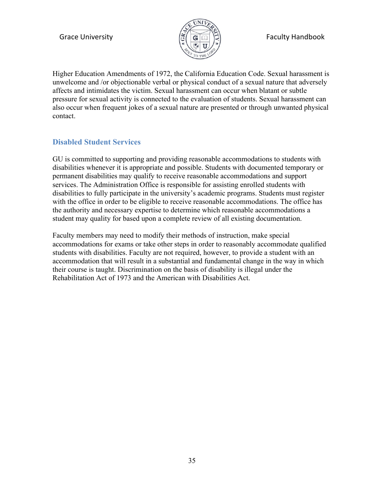

Higher Education Amendments of 1972, the California Education Code. Sexual harassment is unwelcome and /or objectionable verbal or physical conduct of a sexual nature that adversely affects and intimidates the victim. Sexual harassment can occur when blatant or subtle pressure for sexual activity is connected to the evaluation of students. Sexual harassment can also occur when frequent jokes of a sexual nature are presented or through unwanted physical contact.

### <span id="page-34-0"></span>**Disabled Student Services**

GU is committed to supporting and providing reasonable accommodations to students with disabilities whenever it is appropriate and possible. Students with documented temporary or permanent disabilities may qualify to receive reasonable accommodations and support services. The Administration Office is responsible for assisting enrolled students with disabilities to fully participate in the university's academic programs. Students must register with the office in order to be eligible to receive reasonable accommodations. The office has the authority and necessary expertise to determine which reasonable accommodations a student may quality for based upon a complete review of all existing documentation.

Faculty members may need to modify their methods of instruction, make special accommodations for exams or take other steps in order to reasonably accommodate qualified students with disabilities. Faculty are not required, however, to provide a student with an accommodation that will result in a substantial and fundamental change in the way in which their course is taught. Discrimination on the basis of disability is illegal under the Rehabilitation Act of 1973 and the American with Disabilities Act.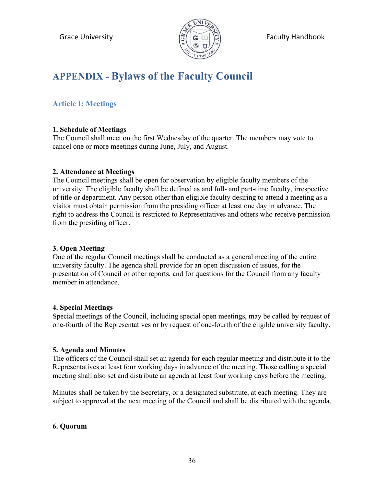

# <span id="page-35-0"></span>**APPENDIX - Bylaws of the Faculty Council**

### <span id="page-35-1"></span>**Article I: Meetings**

### **1. Schedule of Meetings**

The Council shall meet on the first Wednesday of the quarter. The members may vote to cancel one or more meetings during June, July, and August.

### **2. Attendance at Meetings**

The Council meetings shall be open for observation by eligible faculty members of the university. The eligible faculty shall be defined as and full- and part-time faculty, irrespective of title or department. Any person other than eligible faculty desiring to attend a meeting as a visitor must obtain permission from the presiding officer at least one day in advance. The right to address the Council is restricted to Representatives and others who receive permission from the presiding officer.

### **3. Open Meeting**

One of the regular Council meetings shall be conducted as a general meeting of the entire university faculty. The agenda shall provide for an open discussion of issues, for the presentation of Council or other reports, and for questions for the Council from any faculty member in attendance.

### **4. Special Meetings**

Special meetings of the Council, including special open meetings, may be called by request of one-fourth of the Representatives or by request of one-fourth of the eligible university faculty.

### **5. Agenda and Minutes**

The officers of the Council shall set an agenda for each regular meeting and distribute it to the Representatives at least four working days in advance of the meeting. Those calling a special meeting shall also set and distribute an agenda at least four working days before the meeting.

Minutes shall be taken by the Secretary, or a designated substitute, at each meeting. They are subject to approval at the next meeting of the Council and shall be distributed with the agenda.

### **6. Quorum**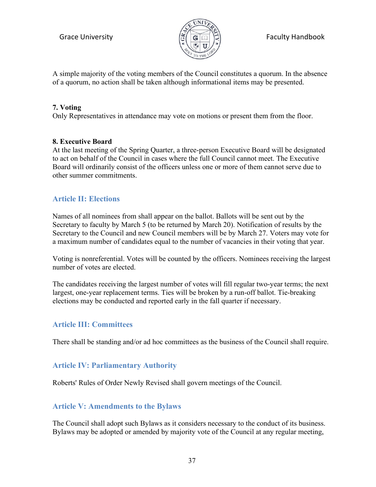

Grace University  $\left|\frac{\sigma}{\sigma}\right| \left|\frac{\sigma}{\sigma}\right| \geq 0$  Faculty Handbook

A simple majority of the voting members of the Council constitutes a quorum. In the absence of a quorum, no action shall be taken although informational items may be presented.

### **7. Voting**

Only Representatives in attendance may vote on motions or present them from the floor.

### **8. Executive Board**

At the last meeting of the Spring Quarter, a three-person Executive Board will be designated to act on behalf of the Council in cases where the full Council cannot meet. The Executive Board will ordinarily consist of the officers unless one or more of them cannot serve due to other summer commitments.

### <span id="page-36-0"></span>**Article II: Elections**

Names of all nominees from shall appear on the ballot. Ballots will be sent out by the Secretary to faculty by March 5 (to be returned by March 20). Notification of results by the Secretary to the Council and new Council members will be by March 27. Voters may vote for a maximum number of candidates equal to the number of vacancies in their voting that year.

Voting is nonreferential. Votes will be counted by the officers. Nominees receiving the largest number of votes are elected.

The candidates receiving the largest number of votes will fill regular two-year terms; the next largest, one-year replacement terms. Ties will be broken by a run-off ballot. Tie-breaking elections may be conducted and reported early in the fall quarter if necessary.

### <span id="page-36-1"></span>**Article III: Committees**

There shall be standing and/or ad hoc committees as the business of the Council shall require.

### <span id="page-36-2"></span>**Article IV: Parliamentary Authority**

Roberts' Rules of Order Newly Revised shall govern meetings of the Council.

### <span id="page-36-3"></span>**Article V: Amendments to the Bylaws**

The Council shall adopt such Bylaws as it considers necessary to the conduct of its business. Bylaws may be adopted or amended by majority vote of the Council at any regular meeting,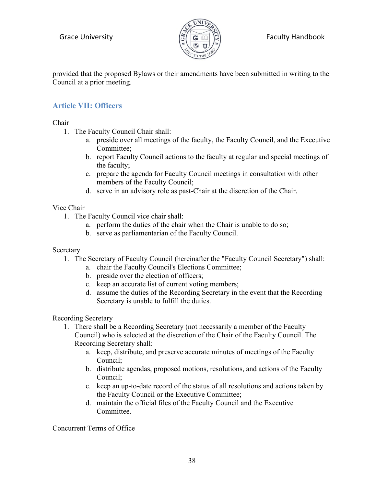

provided that the proposed Bylaws or their amendments have been submitted in writing to the Council at a prior meeting.

### <span id="page-37-0"></span>**Article VII: Officers**

Chair

- 1. The Faculty Council Chair shall:
	- a. preside over all meetings of the faculty, the Faculty Council, and the Executive Committee;
	- b. report Faculty Council actions to the faculty at regular and special meetings of the faculty;
	- c. prepare the agenda for Faculty Council meetings in consultation with other members of the Faculty Council;
	- d. serve in an advisory role as past-Chair at the discretion of the Chair.

### Vice Chair

- 1. The Faculty Council vice chair shall:
	- a. perform the duties of the chair when the Chair is unable to do so;
	- b. serve as parliamentarian of the Faculty Council.

### Secretary

- 1. The Secretary of Faculty Council (hereinafter the "Faculty Council Secretary") shall:
	- a. chair the Faculty Council's Elections Committee;
	- b. preside over the election of officers;
	- c. keep an accurate list of current voting members;
	- d. assume the duties of the Recording Secretary in the event that the Recording Secretary is unable to fulfill the duties.

Recording Secretary

- 1. There shall be a Recording Secretary (not necessarily a member of the Faculty Council) who is selected at the discretion of the Chair of the Faculty Council. The Recording Secretary shall:
	- a. keep, distribute, and preserve accurate minutes of meetings of the Faculty Council;
	- b. distribute agendas, proposed motions, resolutions, and actions of the Faculty Council;
	- c. keep an up-to-date record of the status of all resolutions and actions taken by the Faculty Council or the Executive Committee;
	- d. maintain the official files of the Faculty Council and the Executive Committee.

Concurrent Terms of Office